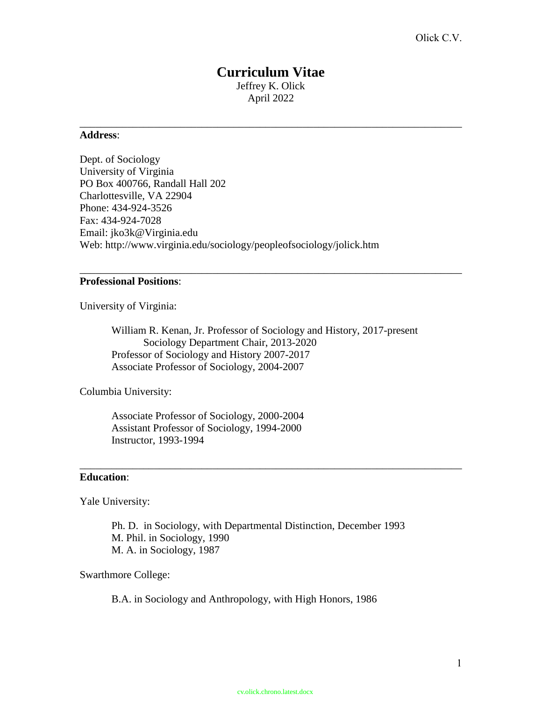## **Curriculum Vitae** Jeffrey K. Olick April 2022

\_\_\_\_\_\_\_\_\_\_\_\_\_\_\_\_\_\_\_\_\_\_\_\_\_\_\_\_\_\_\_\_\_\_\_\_\_\_\_\_\_\_\_\_\_\_\_\_\_\_\_\_\_\_\_\_\_\_\_\_\_\_\_\_\_\_\_\_\_\_\_\_

#### **Address**:

Dept. of Sociology University of Virginia PO Box 400766, Randall Hall 202 Charlottesville, VA 22904 Phone: 434-924-3526 Fax: 434-924-7028 Email: jko3k@Virginia.edu Web: http://www.virginia.edu/sociology/peopleofsociology/jolick.htm

### **Professional Positions**:

University of Virginia:

William R. Kenan, Jr. Professor of Sociology and History, 2017-present Sociology Department Chair, 2013-2020 Professor of Sociology and History 2007-2017 Associate Professor of Sociology, 2004-2007

\_\_\_\_\_\_\_\_\_\_\_\_\_\_\_\_\_\_\_\_\_\_\_\_\_\_\_\_\_\_\_\_\_\_\_\_\_\_\_\_\_\_\_\_\_\_\_\_\_\_\_\_\_\_\_\_\_\_\_\_\_\_\_\_\_\_\_\_\_\_\_\_

Columbia University:

Associate Professor of Sociology, 2000-2004 Assistant Professor of Sociology, 1994-2000 Instructor, 1993-1994

### **Education**:

Yale University:

Ph. D. in Sociology, with Departmental Distinction, December 1993 M. Phil. in Sociology, 1990 M. A. in Sociology, 1987

\_\_\_\_\_\_\_\_\_\_\_\_\_\_\_\_\_\_\_\_\_\_\_\_\_\_\_\_\_\_\_\_\_\_\_\_\_\_\_\_\_\_\_\_\_\_\_\_\_\_\_\_\_\_\_\_\_\_\_\_\_\_\_\_\_\_\_\_\_\_\_\_

Swarthmore College:

B.A. in Sociology and Anthropology, with High Honors, 1986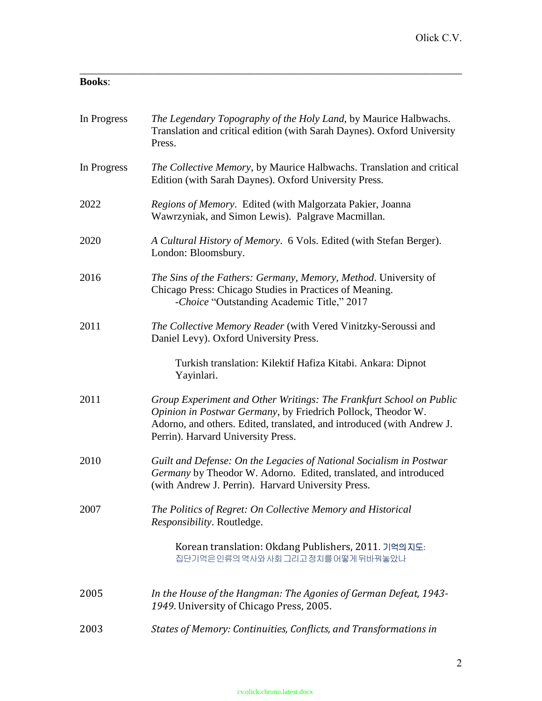# **Books**:

| In Progress | The Legendary Topography of the Holy Land, by Maurice Halbwachs.<br>Translation and critical edition (with Sarah Daynes). Oxford University<br>Press.                                                                                               |
|-------------|-----------------------------------------------------------------------------------------------------------------------------------------------------------------------------------------------------------------------------------------------------|
| In Progress | The Collective Memory, by Maurice Halbwachs. Translation and critical<br>Edition (with Sarah Daynes). Oxford University Press.                                                                                                                      |
| 2022        | Regions of Memory. Edited (with Malgorzata Pakier, Joanna<br>Wawrzyniak, and Simon Lewis). Palgrave Macmillan.                                                                                                                                      |
| 2020        | A Cultural History of Memory. 6 Vols. Edited (with Stefan Berger).<br>London: Bloomsbury.                                                                                                                                                           |
| 2016        | The Sins of the Fathers: Germany, Memory, Method. University of<br>Chicago Press: Chicago Studies in Practices of Meaning.<br>-Choice "Outstanding Academic Title," 2017                                                                            |
| 2011        | The Collective Memory Reader (with Vered Vinitzky-Seroussi and<br>Daniel Levy). Oxford University Press.                                                                                                                                            |
|             | Turkish translation: Kilektif Hafiza Kitabi. Ankara: Dipnot<br>Yayinlari.                                                                                                                                                                           |
| 2011        | Group Experiment and Other Writings: The Frankfurt School on Public<br>Opinion in Postwar Germany, by Friedrich Pollock, Theodor W.<br>Adorno, and others. Edited, translated, and introduced (with Andrew J.<br>Perrin). Harvard University Press. |
| 2010        | Guilt and Defense: On the Legacies of National Socialism in Postwar<br>Germany by Theodor W. Adorno. Edited, translated, and introduced<br>(with Andrew J. Perrin). Harvard University Press.                                                       |
| 2007        | The Politics of Regret: On Collective Memory and Historical<br>Responsibility. Routledge.                                                                                                                                                           |
|             | Korean translation: Okdang Publishers, 2011. 기억의지도:<br>집단기억은 인류의 역사와 사회 그리고 정치를 어떻게 뒤바꿔놓았나                                                                                                                                                          |
| 2005        | In the House of the Hangman: The Agonies of German Defeat, 1943-<br>1949. University of Chicago Press, 2005.                                                                                                                                        |
| 2003        | States of Memory: Continuities, Conflicts, and Transformations in                                                                                                                                                                                   |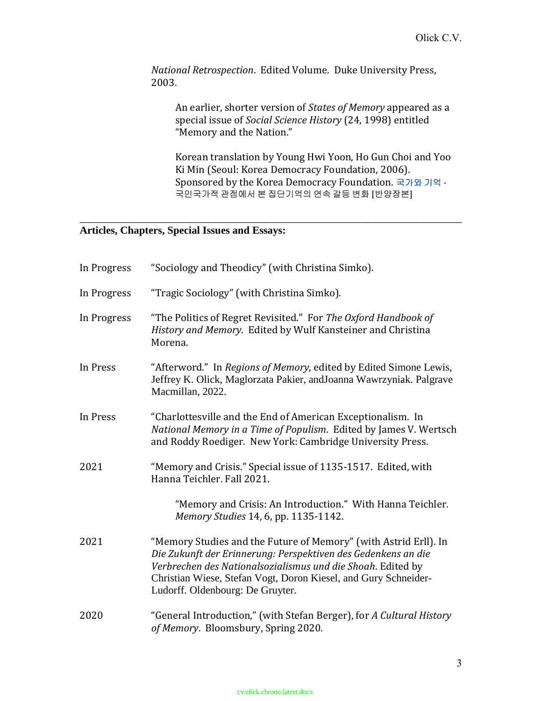*National Retrospection*. Edited Volume. Duke University Press, 2003.

An earlier, shorter version of *States of Memory* appeared as a special issue of *Social Science History* (24, 1998) entitled "Memory and the Nation."

Korean translation by Young Hwi Yoon, Ho Gun Choi and Yoo Ki Min (Seoul: Korea Democracy Foundation, 2006). Sponsored by the Korea Democracy Foundation. 국가와 기억 **-** 국민국가적 관점에서 본 집단기억의 연속 갈등 변화 **[**반양장본**]**

# **Articles, Chapters, Special Issues and Essays:**

| In Progress | "Sociology and Theodicy" (with Christina Simko).                                                                                                                                                                                                                                                        |
|-------------|---------------------------------------------------------------------------------------------------------------------------------------------------------------------------------------------------------------------------------------------------------------------------------------------------------|
| In Progress | "Tragic Sociology" (with Christina Simko).                                                                                                                                                                                                                                                              |
| In Progress | "The Politics of Regret Revisited." For The Oxford Handbook of<br>History and Memory. Edited by Wulf Kansteiner and Christina<br>Morena.                                                                                                                                                                |
| In Press    | "Afterword." In Regions of Memory, edited by Edited Simone Lewis,<br>Jeffrey K. Olick, Maglorzata Pakier, andJoanna Wawrzyniak. Palgrave<br>Macmillan, 2022.                                                                                                                                            |
| In Press    | "Charlottesville and the End of American Exceptionalism. In<br>National Memory in a Time of Populism. Edited by James V. Wertsch<br>and Roddy Roediger. New York: Cambridge University Press.                                                                                                           |
| 2021        | "Memory and Crisis." Special issue of 1135-1517. Edited, with<br>Hanna Teichler. Fall 2021.                                                                                                                                                                                                             |
|             | "Memory and Crisis: An Introduction." With Hanna Teichler.<br>Memory Studies 14, 6, pp. 1135-1142.                                                                                                                                                                                                      |
| 2021        | "Memory Studies and the Future of Memory" (with Astrid Erll). In<br>Die Zukunft der Erinnerung: Perspektiven des Gedenkens an die<br>Verbrechen des Nationalsozialismus und die Shoah. Edited by<br>Christian Wiese, Stefan Vogt, Doron Kiesel, and Gury Schneider-<br>Ludorff. Oldenbourg: De Gruyter. |
| 2020        | "General Introduction," (with Stefan Berger), for A Cultural History<br>of Memory. Bloomsbury, Spring 2020.                                                                                                                                                                                             |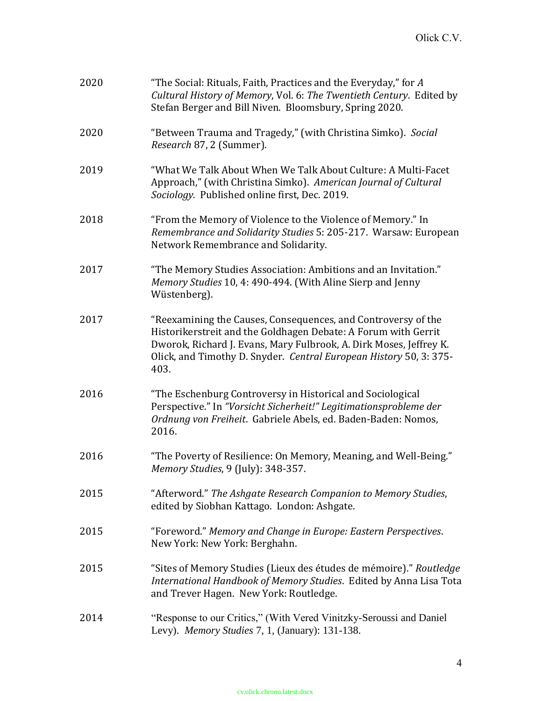| 2020 | The Social: Rituals, Faith, Practices and the Everyday," for A<br>Cultural History of Memory, Vol. 6: The Twentieth Century. Edited by<br>Stefan Berger and Bill Niven. Bloomsbury, Spring 2020.                                                                                    |
|------|-------------------------------------------------------------------------------------------------------------------------------------------------------------------------------------------------------------------------------------------------------------------------------------|
| 2020 | "Between Trauma and Tragedy," (with Christina Simko). Social<br>Research 87, 2 (Summer).                                                                                                                                                                                            |
| 2019 | "What We Talk About When We Talk About Culture: A Multi-Facet<br>Approach," (with Christina Simko). American Journal of Cultural<br>Sociology. Published online first, Dec. 2019.                                                                                                   |
| 2018 | "From the Memory of Violence to the Violence of Memory." In<br>Remembrance and Solidarity Studies 5: 205-217. Warsaw: European<br>Network Remembrance and Solidarity.                                                                                                               |
| 2017 | "The Memory Studies Association: Ambitions and an Invitation."<br>Memory Studies 10, 4: 490-494. (With Aline Sierp and Jenny<br>Wüstenberg).                                                                                                                                        |
| 2017 | "Reexamining the Causes, Consequences, and Controversy of the<br>Historikerstreit and the Goldhagen Debate: A Forum with Gerrit<br>Dworok, Richard J. Evans, Mary Fulbrook, A. Dirk Moses, Jeffrey K.<br>Olick, and Timothy D. Snyder. Central European History 50, 3: 375-<br>403. |
| 2016 | "The Eschenburg Controversy in Historical and Sociological<br>Perspective." In "Vorsicht Sicherheit!" Legitimationsprobleme der<br>Ordnung von Freiheit. Gabriele Abels, ed. Baden-Baden: Nomos,<br>2016.                                                                           |
| 2016 | "The Poverty of Resilience: On Memory, Meaning, and Well-Being."<br>Memory Studies, 9 (July): 348-357.                                                                                                                                                                              |
| 2015 | "Afterword." The Ashgate Research Companion to Memory Studies,<br>edited by Siobhan Kattago. London: Ashgate.                                                                                                                                                                       |
| 2015 | "Foreword." Memory and Change in Europe: Eastern Perspectives.<br>New York: New York: Berghahn.                                                                                                                                                                                     |
| 2015 | "Sites of Memory Studies (Lieux des études de mémoire)." Routledge<br>International Handbook of Memory Studies. Edited by Anna Lisa Tota<br>and Trever Hagen. New York: Routledge.                                                                                                  |
| 2014 | "Response to our Critics," (With Vered Vinitzky-Seroussi and Daniel<br>Levy). Memory Studies 7, 1, (January): 131-138.                                                                                                                                                              |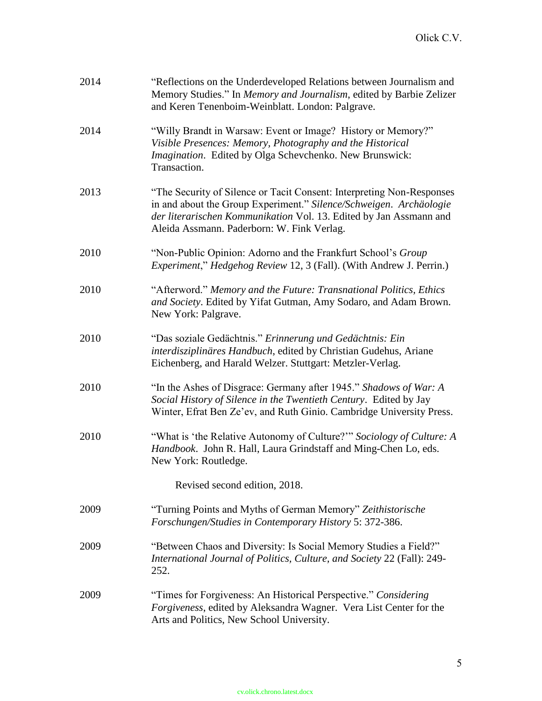| "Reflections on the Underdeveloped Relations between Journalism and<br>Memory Studies." In Memory and Journalism, edited by Barbie Zelizer<br>and Keren Tenenboim-Weinblatt. London: Palgrave.                                                                  |
|-----------------------------------------------------------------------------------------------------------------------------------------------------------------------------------------------------------------------------------------------------------------|
| "Willy Brandt in Warsaw: Event or Image? History or Memory?"<br>Visible Presences: Memory, Photography and the Historical<br>Imagination. Edited by Olga Schevchenko. New Brunswick:<br>Transaction.                                                            |
| "The Security of Silence or Tacit Consent: Interpreting Non-Responses<br>in and about the Group Experiment." Silence/Schweigen. Archäologie<br>der literarischen Kommunikation Vol. 13. Edited by Jan Assmann and<br>Aleida Assmann. Paderborn: W. Fink Verlag. |
| "Non-Public Opinion: Adorno and the Frankfurt School's Group<br><i>Experiment," Hedgehog Review 12, 3 (Fall). (With Andrew J. Perrin.)</i>                                                                                                                      |
| "Afterword." Memory and the Future: Transnational Politics, Ethics<br>and Society. Edited by Yifat Gutman, Amy Sodaro, and Adam Brown.<br>New York: Palgrave.                                                                                                   |
| "Das soziale Gedächtnis." Erinnerung und Gedächtnis: Ein<br>interdisziplinäres Handbuch, edited by Christian Gudehus, Ariane<br>Eichenberg, and Harald Welzer. Stuttgart: Metzler-Verlag.                                                                       |
| "In the Ashes of Disgrace: Germany after 1945." Shadows of War: A<br>Social History of Silence in the Twentieth Century. Edited by Jay<br>Winter, Efrat Ben Ze'ev, and Ruth Ginio. Cambridge University Press.                                                  |
| "What is 'the Relative Autonomy of Culture?"" Sociology of Culture: A<br>Handbook. John R. Hall, Laura Grindstaff and Ming-Chen Lo, eds.<br>New York: Routledge.                                                                                                |
| Revised second edition, 2018.                                                                                                                                                                                                                                   |
| "Turning Points and Myths of German Memory" Zeithistorische<br>Forschungen/Studies in Contemporary History 5: 372-386.                                                                                                                                          |
| "Between Chaos and Diversity: Is Social Memory Studies a Field?"<br>International Journal of Politics, Culture, and Society 22 (Fall): 249-<br>252.                                                                                                             |
| "Times for Forgiveness: An Historical Perspective." Considering<br>Forgiveness, edited by Aleksandra Wagner. Vera List Center for the<br>Arts and Politics, New School University.                                                                              |
|                                                                                                                                                                                                                                                                 |

#### cv.olick.chrono.latest.docx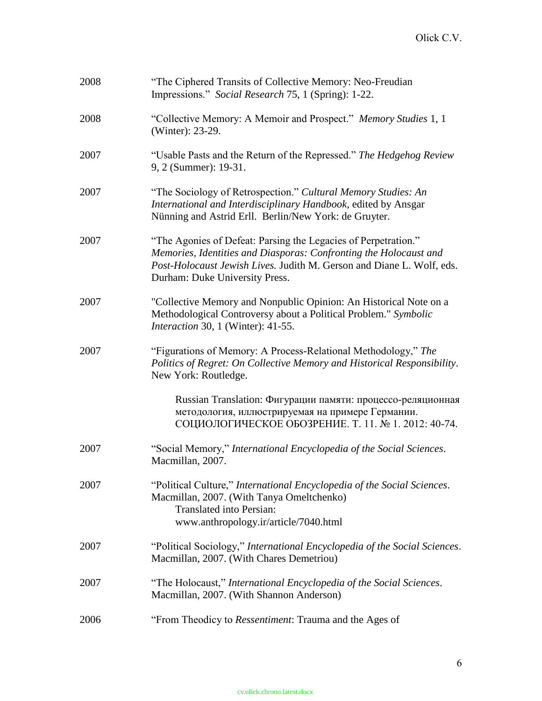| 2008 | "The Ciphered Transits of Collective Memory: Neo-Freudian<br>Impressions." Social Research 75, 1 (Spring): 1-22.                                                                                                                               |
|------|------------------------------------------------------------------------------------------------------------------------------------------------------------------------------------------------------------------------------------------------|
| 2008 | "Collective Memory: A Memoir and Prospect." Memory Studies 1, 1<br>(Winter): 23-29.                                                                                                                                                            |
| 2007 | "Usable Pasts and the Return of the Repressed." The Hedgehog Review<br>9, 2 (Summer): 19-31.                                                                                                                                                   |
| 2007 | "The Sociology of Retrospection." Cultural Memory Studies: An<br>International and Interdisciplinary Handbook, edited by Ansgar<br>Nünning and Astrid Erll. Berlin/New York: de Gruyter.                                                       |
| 2007 | "The Agonies of Defeat: Parsing the Legacies of Perpetration."<br>Memories, Identities and Diasporas: Confronting the Holocaust and<br>Post-Holocaust Jewish Lives. Judith M. Gerson and Diane L. Wolf, eds.<br>Durham: Duke University Press. |
| 2007 | "Collective Memory and Nonpublic Opinion: An Historical Note on a<br>Methodological Controversy about a Political Problem." Symbolic<br>Interaction 30, 1 (Winter): 41-55.                                                                     |
| 2007 | "Figurations of Memory: A Process-Relational Methodology," The<br>Politics of Regret: On Collective Memory and Historical Responsibility.<br>New York: Routledge.                                                                              |
|      | Russian Translation: Фигурации памяти: процессо-реляционная<br>методология, иллюстрируемая на примере Германии.<br>СОЦИОЛОГИЧЕСКОЕ ОБОЗРЕНИЕ. Т. 11. № 1. 2012: 40-74.                                                                         |
| 2007 | "Social Memory," International Encyclopedia of the Social Sciences.<br>Macmillan, 2007.                                                                                                                                                        |
| 2007 | "Political Culture," International Encyclopedia of the Social Sciences.<br>Macmillan, 2007. (With Tanya Omeltchenko)<br><b>Translated into Persian:</b><br>www.anthropology.ir/article/7040.html                                               |
| 2007 | "Political Sociology," International Encyclopedia of the Social Sciences.<br>Macmillan, 2007. (With Chares Demetriou)                                                                                                                          |
| 2007 | "The Holocaust," International Encyclopedia of the Social Sciences.<br>Macmillan, 2007. (With Shannon Anderson)                                                                                                                                |
| 2006 | "From Theodicy to Ressentiment: Trauma and the Ages of                                                                                                                                                                                         |

#### cv.olick.chrono.latest.docx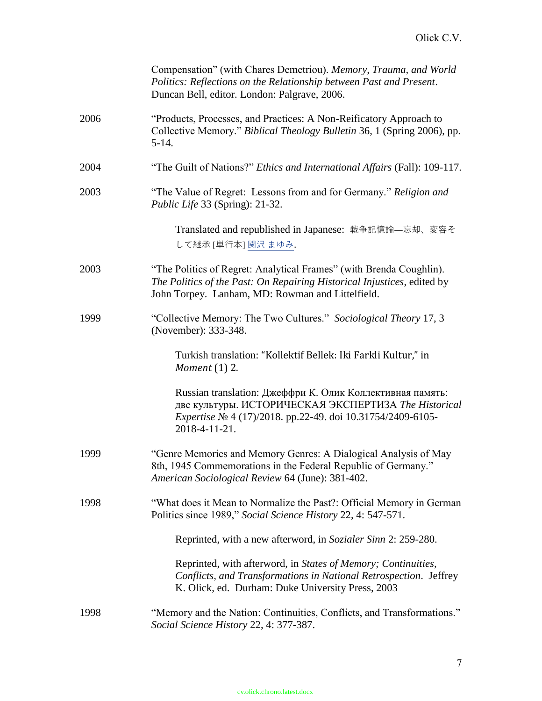|      | Compensation" (with Chares Demetriou). Memory, Trauma, and World<br>Politics: Reflections on the Relationship between Past and Present.<br>Duncan Bell, editor. London: Palgrave, 2006.                  |
|------|----------------------------------------------------------------------------------------------------------------------------------------------------------------------------------------------------------|
| 2006 | "Products, Processes, and Practices: A Non-Reificatory Approach to<br>Collective Memory." Biblical Theology Bulletin 36, 1 (Spring 2006), pp.<br>$5-14.$                                                 |
| 2004 | "The Guilt of Nations?" <i>Ethics and International Affairs</i> (Fall): 109-117.                                                                                                                         |
| 2003 | "The Value of Regret: Lessons from and for Germany." Religion and<br>Public Life 33 (Spring): 21-32.                                                                                                     |
|      | Translated and republished in Japanese: 戦争記憶論–忘却、変容そ<br>して継承 [単行本] 関沢 まゆみ.                                                                                                                               |
| 2003 | "The Politics of Regret: Analytical Frames" (with Brenda Coughlin).<br>The Politics of the Past: On Repairing Historical Injustices, edited by<br>John Torpey. Lanham, MD: Rowman and Littelfield.       |
| 1999 | "Collective Memory: The Two Cultures." Sociological Theory 17, 3<br>(November): 333-348.                                                                                                                 |
|      | Turkish translation: "Kollektif Bellek: Iki Farkli Kultur," in<br>Moment $(1)$ 2.                                                                                                                        |
|      | Russian translation: Джеффри К. Олик Коллективная память:<br>две культуры. ИСТОРИЧЕСКАЯ ЭКСПЕРТИЗА The Historical<br><i>Expertise</i> No 4 (17)/2018. pp.22-49. doi 10.31754/2409-6105-<br>2018-4-11-21. |
| 1999 | "Genre Memories and Memory Genres: A Dialogical Analysis of May<br>8th, 1945 Commemorations in the Federal Republic of Germany."<br>American Sociological Review 64 (June): 381-402.                     |
| 1998 | "What does it Mean to Normalize the Past?: Official Memory in German<br>Politics since 1989," Social Science History 22, 4: 547-571.                                                                     |
|      | Reprinted, with a new afterword, in Sozialer Sinn 2: 259-280.                                                                                                                                            |
|      | Reprinted, with afterword, in States of Memory; Continuities,<br>Conflicts, and Transformations in National Retrospection. Jeffrey<br>K. Olick, ed. Durham: Duke University Press, 2003                  |
| 1998 | "Memory and the Nation: Continuities, Conflicts, and Transformations."<br>Social Science History 22, 4: 377-387.                                                                                         |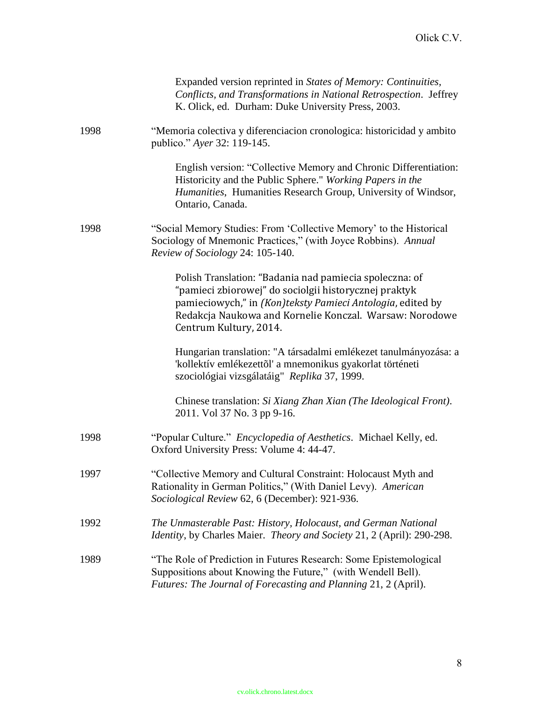|      | Expanded version reprinted in States of Memory: Continuities,<br>Conflicts, and Transformations in National Retrospection. Jeffrey<br>K. Olick, ed. Durham: Duke University Press, 2003.                                                                            |
|------|---------------------------------------------------------------------------------------------------------------------------------------------------------------------------------------------------------------------------------------------------------------------|
| 1998 | "Memoria colectiva y diferenciacion cronologica: historicidad y ambito<br>publico." Ayer 32: 119-145.                                                                                                                                                               |
|      | English version: "Collective Memory and Chronic Differentiation:<br>Historicity and the Public Sphere." Working Papers in the<br>Humanities, Humanities Research Group, University of Windsor,<br>Ontario, Canada.                                                  |
| 1998 | "Social Memory Studies: From 'Collective Memory' to the Historical<br>Sociology of Mnemonic Practices," (with Joyce Robbins). Annual<br>Review of Sociology 24: 105-140.                                                                                            |
|      | Polish Translation: "Badania nad pamiecia spoleczna: of<br>"pamieci zbiorowej" do sociolgii historycznej praktyk<br>pamieciowych," in (Kon)teksty Pamieci Antologia, edited by<br>Redakcja Naukowa and Kornelie Konczal. Warsaw: Norodowe<br>Centrum Kultury, 2014. |
|      | Hungarian translation: "A társadalmi emlékezet tanulmányozása: a<br>'kollektív emlékezettől' a mnemonikus gyakorlat történeti<br>szociológiai vizsgálatáig" Replika 37, 1999.                                                                                       |
|      | Chinese translation: Si Xiang Zhan Xian (The Ideological Front).<br>2011. Vol 37 No. 3 pp 9-16.                                                                                                                                                                     |
| 1998 | "Popular Culture." Encyclopedia of Aesthetics. Michael Kelly, ed.<br>Oxford University Press: Volume 4: 44-47.                                                                                                                                                      |
| 1997 | "Collective Memory and Cultural Constraint: Holocaust Myth and<br>Rationality in German Politics," (With Daniel Levy). American<br>Sociological Review 62, 6 (December): 921-936.                                                                                   |
| 1992 | The Unmasterable Past: History, Holocaust, and German National<br>Identity, by Charles Maier. Theory and Society 21, 2 (April): 290-298.                                                                                                                            |
| 1989 | "The Role of Prediction in Futures Research: Some Epistemological<br>Suppositions about Knowing the Future," (with Wendell Bell).<br>Futures: The Journal of Forecasting and Planning 21, 2 (April).                                                                |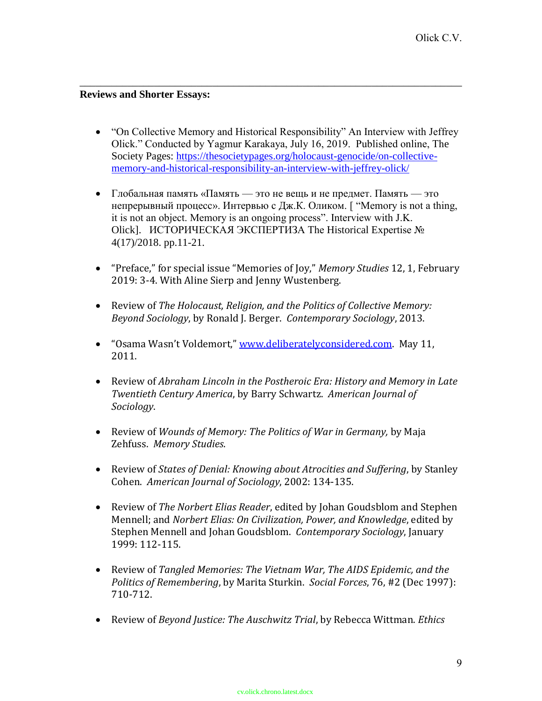## **Reviews and Shorter Essays:**

• "On Collective Memory and Historical Responsibility" An Interview with Jeffrey Olick." Conducted by Yagmur Karakaya, July 16, 2019. Published online, The Society Pages: https://thesocietypages.org/holocaust-genocide/on-collectivememory-and-historical-responsibility-an-interview-with-jeffrey-olick/

- Глобальная память «Память это не вещь и не предмет. Память это непрерывный процесс». Интервью с Дж.К. Оликом. [ "Memory is not a thing, it is not an object. Memory is an ongoing process". Interview with J.K. Olick]. ИСТОРИЧЕСКАЯ ЭКСПЕРТИЗА The Historical Expertise № 4(17)/2018. pp.11-21.
- "Preface," for special issue "Memories of Joy," *Memory Studies* 12, 1, February 2019: 3-4. With Aline Sierp and Jenny Wustenberg.
- Review of *The Holocaust, Religion, and the Politics of Collective Memory: Beyond Sociology*, by Ronald J. Berger. *Contemporary Sociology*, 2013.
- "Osama Wasn't Voldemort," www.deliberatelyconsidered.com. May 11. 2011.
- Review of *Abraham Lincoln in the Postheroic Era: History and Memory in Late Twentieth Century America*, by Barry Schwartz. *American Journal of Sociology*.
- Review of *Wounds of Memory: The Politics of War in Germany,* by Maja Zehfuss. *Memory Studies*.
- Review of *States of Denial: Knowing about Atrocities and Suffering*, by Stanley Cohen. *American Journal of Sociology*, 2002: 134-135.
- Review of *The Norbert Elias Reader*, edited by Johan Goudsblom and Stephen Mennell; and *Norbert Elias: On Civilization, Power, and Knowledge*, edited by Stephen Mennell and Johan Goudsblom. *Contemporary Sociology*, January 1999: 112-115.
- Review of *Tangled Memories: The Vietnam War, The AIDS Epidemic, and the Politics of Remembering*, by Marita Sturkin. *Social Forces*, 76, #2 (Dec 1997): 710-712.
- Review of *Beyond Justice: The Auschwitz Trial*, by Rebecca Wittman. *Ethics*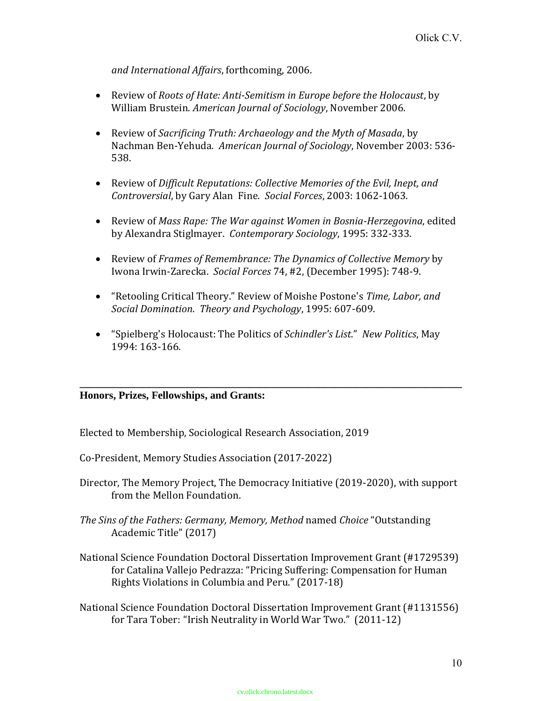*and International Affairs*, forthcoming, 2006.

- Review of *Roots of Hate: Anti-Semitism in Europe before the Holocaust*, by William Brustein. *American Journal of Sociology*, November 2006.
- Review of *Sacrificing Truth: Archaeology and the Myth of Masada*, by Nachman Ben-Yehuda*. American Journal of Sociology*, November 2003: 536- 538.
- Review of *Difficult Reputations: Collective Memories of the Evil, Inept, and Controversial*, by Gary Alan Fine. *Social Forces*, 2003: 1062-1063.
- Review of *Mass Rape: The War against Women in Bosnia-Herzegovina*, edited by Alexandra Stiglmayer. *Contemporary Sociology*, 1995: 332-333.
- Review of *Frames of Remembrance: The Dynamics of Collective Memory* by Iwona Irwin-Zarecka. *Social Forces* 74, #2, (December 1995): 748-9.
- "Retooling Critical Theory." Review of Moishe Postone's *Time, Labor, and Social Domination*. *Theory and Psychology*, 1995: 607-609.
- "Spielberg's Holocaust: The Politics of *Schindler's List*." *New Politics*, May 1994: 163-166.

**\_\_\_\_\_\_\_\_\_\_\_\_\_\_\_\_\_\_\_\_\_\_\_\_\_\_\_\_\_\_\_\_\_\_\_\_\_\_\_\_\_\_\_\_\_\_\_\_\_\_\_\_\_\_\_\_\_\_\_\_\_\_\_\_\_\_\_\_\_\_\_\_**

## **Honors, Prizes, Fellowships, and Grants:**

Elected to Membership, Sociological Research Association, 2019

Co-President, Memory Studies Association (2017-2022)

- Director, The Memory Project, The Democracy Initiative (2019-2020), with support from the Mellon Foundation.
- *The Sins of the Fathers: Germany, Memory, Method* named *Choice* "Outstanding Academic Title" (2017)
- National Science Foundation Doctoral Dissertation Improvement Grant (#1729539) for Catalina Vallejo Pedrazza: "Pricing Suffering: Compensation for Human Rights Violations in Columbia and Peru." (2017-18)
- National Science Foundation Doctoral Dissertation Improvement Grant (#1131556) for Tara Tober: "Irish Neutrality in World War Two." (2011-12)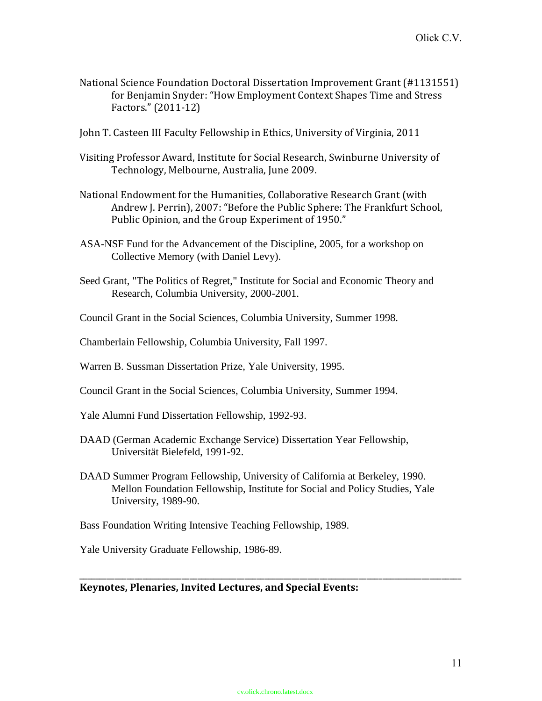- National Science Foundation Doctoral Dissertation Improvement Grant (#1131551) for Benjamin Snyder: "How Employment Context Shapes Time and Stress Factors." (2011-12)
- John T. Casteen III Faculty Fellowship in Ethics, University of Virginia, 2011
- Visiting Professor Award, Institute for Social Research, Swinburne University of Technology, Melbourne, Australia, June 2009.
- National Endowment for the Humanities, Collaborative Research Grant (with Andrew J. Perrin), 2007: "Before the Public Sphere: The Frankfurt School, Public Opinion, and the Group Experiment of 1950."
- ASA-NSF Fund for the Advancement of the Discipline, 2005, for a workshop on Collective Memory (with Daniel Levy).
- Seed Grant, "The Politics of Regret," Institute for Social and Economic Theory and Research, Columbia University, 2000-2001.
- Council Grant in the Social Sciences, Columbia University, Summer 1998.
- Chamberlain Fellowship, Columbia University, Fall 1997.
- Warren B. Sussman Dissertation Prize, Yale University, 1995.
- Council Grant in the Social Sciences, Columbia University, Summer 1994.
- Yale Alumni Fund Dissertation Fellowship, 1992-93.
- DAAD (German Academic Exchange Service) Dissertation Year Fellowship, Universität Bielefeld, 1991-92.
- DAAD Summer Program Fellowship, University of California at Berkeley, 1990. Mellon Foundation Fellowship, Institute for Social and Policy Studies, Yale University, 1989-90.
- Bass Foundation Writing Intensive Teaching Fellowship, 1989.

Yale University Graduate Fellowship, 1986-89.

## **Keynotes, Plenaries, Invited Lectures, and Special Events:**

\_\_\_\_\_\_\_\_\_\_\_\_\_\_\_\_\_\_\_\_\_\_\_\_\_\_\_\_\_\_\_\_\_\_\_\_\_\_\_\_\_\_\_\_\_\_\_\_\_\_\_\_\_\_\_\_\_\_\_\_\_\_\_\_\_\_\_\_\_\_\_\_\_\_\_\_\_\_\_\_\_\_\_\_\_\_\_\_\_\_\_\_\_\_\_\_\_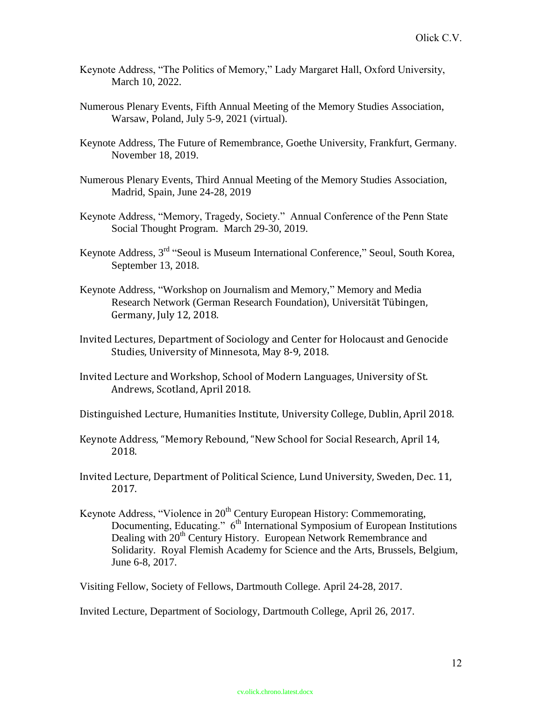- Keynote Address, "The Politics of Memory," Lady Margaret Hall, Oxford University, March 10, 2022.
- Numerous Plenary Events, Fifth Annual Meeting of the Memory Studies Association, Warsaw, Poland, July 5-9, 2021 (virtual).
- Keynote Address, The Future of Remembrance, Goethe University, Frankfurt, Germany. November 18, 2019.
- Numerous Plenary Events, Third Annual Meeting of the Memory Studies Association, Madrid, Spain, June 24-28, 2019
- Keynote Address, "Memory, Tragedy, Society." Annual Conference of the Penn State Social Thought Program. March 29-30, 2019.
- Keynote Address, 3rd "Seoul is Museum International Conference," Seoul, South Korea, September 13, 2018.
- Keynote Address, "Workshop on Journalism and Memory," Memory and Media Research Network (German Research Foundation), Universität Tübingen, Germany, July 12, 2018.
- Invited Lectures, Department of Sociology and Center for Holocaust and Genocide Studies, University of Minnesota, May 8-9, 2018.
- Invited Lecture and Workshop, School of Modern Languages, University of St. Andrews, Scotland, April 2018.

Distinguished Lecture, Humanities Institute, University College, Dublin, April 2018.

- Keynote Address, "Memory Rebound, "New School for Social Research, April 14, 2018.
- Invited Lecture, Department of Political Science, Lund University, Sweden, Dec. 11, 2017.
- Keynote Address, "Violence in 20<sup>th</sup> Century European History: Commemorating, Documenting, Educating."  $6<sup>th</sup>$  International Symposium of European Institutions Dealing with 20<sup>th</sup> Century History. European Network Remembrance and Solidarity. Royal Flemish Academy for Science and the Arts, Brussels, Belgium, June 6-8, 2017.

Visiting Fellow, Society of Fellows, Dartmouth College. April 24-28, 2017.

Invited Lecture, Department of Sociology, Dartmouth College, April 26, 2017.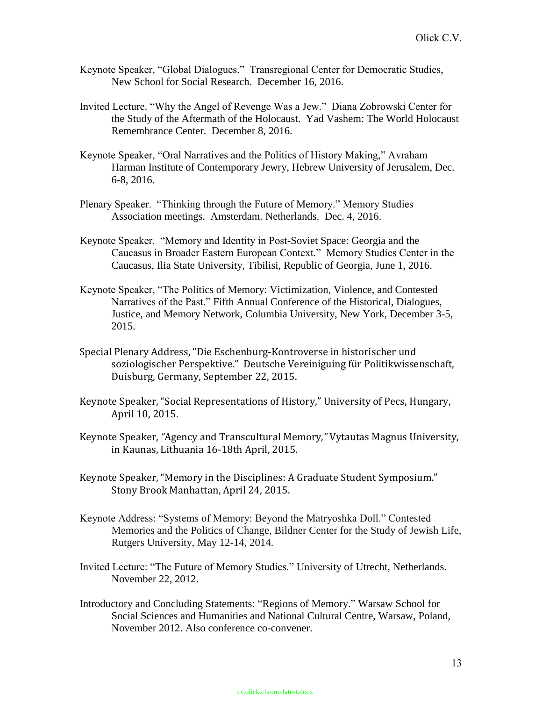- Keynote Speaker, "Global Dialogues." Transregional Center for Democratic Studies, New School for Social Research. December 16, 2016.
- Invited Lecture. "Why the Angel of Revenge Was a Jew." Diana Zobrowski Center for the Study of the Aftermath of the Holocaust. Yad Vashem: The World Holocaust Remembrance Center. December 8, 2016.
- Keynote Speaker, "Oral Narratives and the Politics of History Making," Avraham Harman Institute of Contemporary Jewry, Hebrew University of Jerusalem, Dec. 6-8, 2016.
- Plenary Speaker. "Thinking through the Future of Memory." Memory Studies Association meetings. Amsterdam. Netherlands. Dec. 4, 2016.
- Keynote Speaker. "Memory and Identity in Post-Soviet Space: Georgia and the Caucasus in Broader Eastern European Context." Memory Studies Center in the Caucasus, Ilia State University, Tibilisi, Republic of Georgia, June 1, 2016.
- Keynote Speaker, "The Politics of Memory: Victimization, Violence, and Contested Narratives of the Past." Fifth Annual Conference of the Historical, Dialogues, Justice, and Memory Network, Columbia University, New York, December 3-5, 2015.
- Special Plenary Address, "Die Eschenburg-Kontroverse in historischer und soziologischer Perspektive." Deutsche Vereiniguing für Politikwissenschaft, Duisburg, Germany, September 22, 2015.
- Keynote Speaker, "Social Representations of History," University of Pecs, Hungary, April 10, 2015.
- Keynote Speaker, *"*Agency and Transcultural Memory*,"* Vytautas Magnus University, in Kaunas, Lithuania 16-18th April, 2015.
- Keynote Speaker, "Memory in the Disciplines: A Graduate Student Symposium." Stony Brook Manhattan, April 24, 2015.
- Keynote Address: "Systems of Memory: Beyond the Matryoshka Doll." Contested Memories and the Politics of Change, Bildner Center for the Study of Jewish Life, Rutgers University, May 12-14, 2014.
- Invited Lecture: "The Future of Memory Studies." University of Utrecht, Netherlands. November 22, 2012.
- Introductory and Concluding Statements: "Regions of Memory." Warsaw School for Social Sciences and Humanities and National Cultural Centre, Warsaw, Poland, November 2012. Also conference co-convener.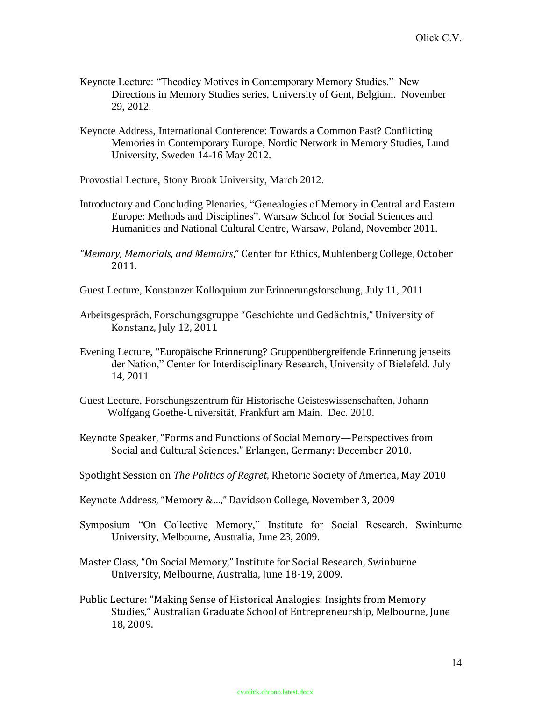- Keynote Lecture: "Theodicy Motives in Contemporary Memory Studies." New Directions in Memory Studies series, University of Gent, Belgium. November 29, 2012.
- Keynote Address, International Conference: Towards a Common Past? Conflicting Memories in Contemporary Europe, Nordic Network in Memory Studies, Lund University, Sweden 14-16 May 2012.
- Provostial Lecture, Stony Brook University, March 2012.
- Introductory and Concluding Plenaries, "Genealogies of Memory in Central and Eastern Europe: Methods and Disciplines". Warsaw School for Social Sciences and Humanities and National Cultural Centre, Warsaw, Poland, November 2011.
- *"Memory, Memorials, and Memoirs*," Center for Ethics, Muhlenberg College, October 2011.
- Guest Lecture, Konstanzer Kolloquium zur Erinnerungsforschung, July 11, 2011
- Arbeitsgespräch, Forschungsgruppe "Geschichte und Gedächtnis," University of Konstanz, July 12, 2011
- Evening Lecture, "Europäische Erinnerung? Gruppenübergreifende Erinnerung jenseits der Nation," Center for Interdisciplinary Research, University of Bielefeld. July 14, 2011
- Guest Lecture, Forschungszentrum für Historische Geisteswissenschaften, Johann Wolfgang Goethe-Universität, Frankfurt am Main. Dec. 2010.
- Keynote Speaker, "Forms and Functions of Social Memory—Perspectives from Social and Cultural Sciences." Erlangen, Germany: December 2010.
- Spotlight Session on *The Politics of Regret*, Rhetoric Society of America, May 2010
- Keynote Address, "Memory &…," Davidson College, November 3, 2009
- Symposium "On Collective Memory," Institute for Social Research, Swinburne University, Melbourne, Australia, June 23, 2009.
- Master Class, "On Social Memory," Institute for Social Research, Swinburne University, Melbourne, Australia, June 18-19, 2009.
- Public Lecture: "Making Sense of Historical Analogies: Insights from Memory Studies," Australian Graduate School of Entrepreneurship, Melbourne, June 18, 2009.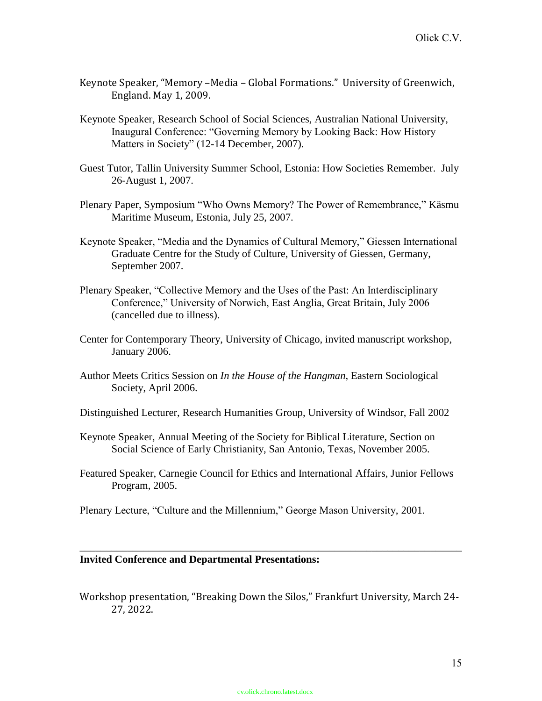- Keynote Speaker, "Memory –Media Global Formations." University of Greenwich, England. May 1, 2009.
- Keynote Speaker, Research School of Social Sciences, Australian National University, Inaugural Conference: "Governing Memory by Looking Back: How History Matters in Society" (12-14 December, 2007).
- Guest Tutor, Tallin University Summer School, Estonia: How Societies Remember. July 26-August 1, 2007.
- Plenary Paper, Symposium "Who Owns Memory? The Power of Remembrance," Käsmu Maritime Museum, Estonia, July 25, 2007.
- Keynote Speaker, "Media and the Dynamics of Cultural Memory," Giessen International Graduate Centre for the Study of Culture, University of Giessen, Germany, September 2007.
- Plenary Speaker, "Collective Memory and the Uses of the Past: An Interdisciplinary Conference," University of Norwich, East Anglia, Great Britain, July 2006 (cancelled due to illness).
- Center for Contemporary Theory, University of Chicago, invited manuscript workshop, January 2006.
- Author Meets Critics Session on *In the House of the Hangman*, Eastern Sociological Society, April 2006.
- Distinguished Lecturer, Research Humanities Group, University of Windsor, Fall 2002
- Keynote Speaker, Annual Meeting of the Society for Biblical Literature, Section on Social Science of Early Christianity, San Antonio, Texas, November 2005.
- Featured Speaker, Carnegie Council for Ethics and International Affairs, Junior Fellows Program, 2005.
- Plenary Lecture, "Culture and the Millennium," George Mason University, 2001.

#### **Invited Conference and Departmental Presentations:**

Workshop presentation, "Breaking Down the Silos," Frankfurt University, March 24- 27, 2022.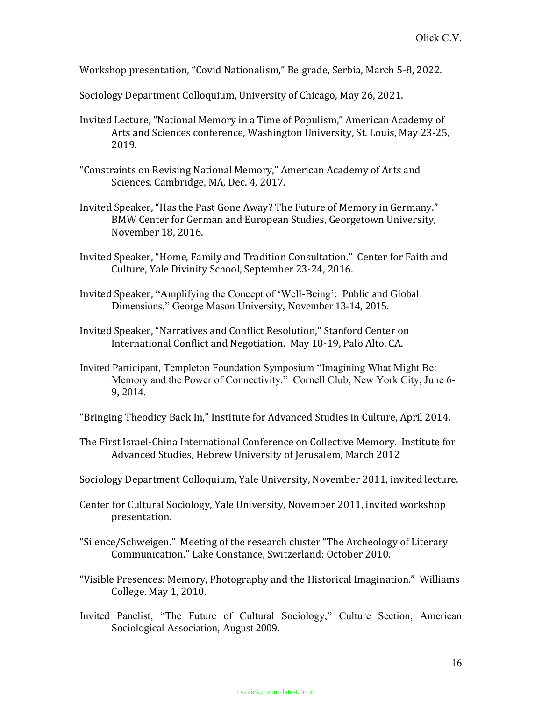Workshop presentation, "Covid Nationalism," Belgrade, Serbia, March 5-8, 2022.

Sociology Department Colloquium, University of Chicago, May 26, 2021.

- Invited Lecture, "National Memory in a Time of Populism," American Academy of Arts and Sciences conference, Washington University, St. Louis, May 23-25, 2019.
- "Constraints on Revising National Memory," American Academy of Arts and Sciences, Cambridge, MA, Dec. 4, 2017.
- Invited Speaker, "Has the Past Gone Away? The Future of Memory in Germany." BMW Center for German and European Studies, Georgetown University, November 18, 2016.
- Invited Speaker, "Home, Family and Tradition Consultation." Center for Faith and Culture, Yale Divinity School, September 23-24, 2016.
- Invited Speaker, "Amplifying the Concept of 'Well-Being': Public and Global Dimensions," George Mason University, November 13-14, 2015.
- Invited Speaker, "Narratives and Conflict Resolution," Stanford Center on International Conflict and Negotiation. May 18-19, Palo Alto, CA.
- Invited Participant, Templeton Foundation Symposium "Imagining What Might Be: Memory and the Power of Connectivity." Cornell Club, New York City, June 6- 9, 2014.

"Bringing Theodicy Back In," Institute for Advanced Studies in Culture, April 2014.

- The First Israel-China International Conference on Collective Memory. Institute for Advanced Studies, Hebrew University of Jerusalem, March 2012
- Sociology Department Colloquium, Yale University, November 2011, invited lecture.
- Center for Cultural Sociology, Yale University, November 2011, invited workshop presentation.
- "Silence/Schweigen." Meeting of the research cluster "The Archeology of Literary Communication." Lake Constance, Switzerland: October 2010.
- "Visible Presences: Memory, Photography and the Historical Imagination." Williams College. May 1, 2010.
- Invited Panelist, "The Future of Cultural Sociology," Culture Section, American Sociological Association, August 2009.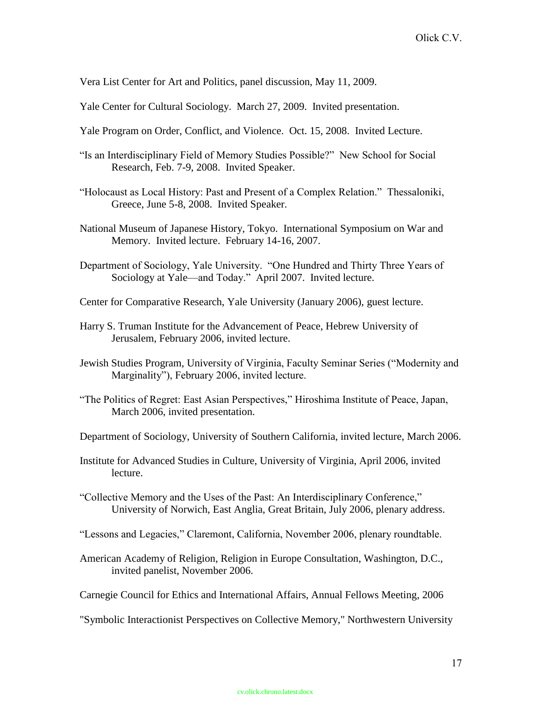Vera List Center for Art and Politics, panel discussion, May 11, 2009.

Yale Center for Cultural Sociology. March 27, 2009. Invited presentation.

- Yale Program on Order, Conflict, and Violence. Oct. 15, 2008. Invited Lecture.
- "Is an Interdisciplinary Field of Memory Studies Possible?" New School for Social Research, Feb. 7-9, 2008. Invited Speaker.
- "Holocaust as Local History: Past and Present of a Complex Relation." Thessaloniki, Greece, June 5-8, 2008. Invited Speaker.
- National Museum of Japanese History, Tokyo. International Symposium on War and Memory. Invited lecture. February 14-16, 2007.
- Department of Sociology, Yale University. "One Hundred and Thirty Three Years of Sociology at Yale—and Today." April 2007. Invited lecture.
- Center for Comparative Research, Yale University (January 2006), guest lecture.
- Harry S. Truman Institute for the Advancement of Peace, Hebrew University of Jerusalem, February 2006, invited lecture.
- Jewish Studies Program, University of Virginia, Faculty Seminar Series ("Modernity and Marginality"), February 2006, invited lecture.
- "The Politics of Regret: East Asian Perspectives," Hiroshima Institute of Peace, Japan, March 2006, invited presentation.
- Department of Sociology, University of Southern California, invited lecture, March 2006.
- Institute for Advanced Studies in Culture, University of Virginia, April 2006, invited lecture.
- "Collective Memory and the Uses of the Past: An Interdisciplinary Conference," University of Norwich, East Anglia, Great Britain, July 2006, plenary address.
- "Lessons and Legacies," Claremont, California, November 2006, plenary roundtable.
- American Academy of Religion, Religion in Europe Consultation, Washington, D.C., invited panelist, November 2006.
- Carnegie Council for Ethics and International Affairs, Annual Fellows Meeting, 2006
- "Symbolic Interactionist Perspectives on Collective Memory," Northwestern University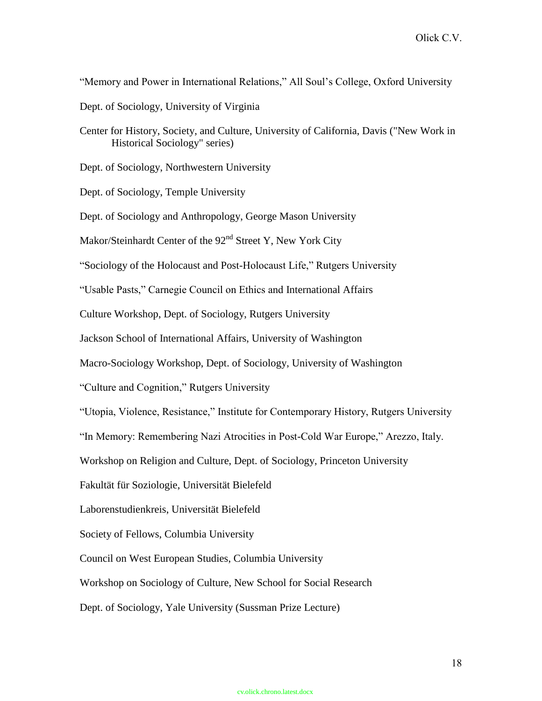"Memory and Power in International Relations," All Soul's College, Oxford University

Dept. of Sociology, University of Virginia

Center for History, Society, and Culture, University of California, Davis ("New Work in Historical Sociology" series)

Dept. of Sociology, Northwestern University

Dept. of Sociology, Temple University

Dept. of Sociology and Anthropology, George Mason University

Makor/Steinhardt Center of the 92<sup>nd</sup> Street Y, New York City

"Sociology of the Holocaust and Post-Holocaust Life," Rutgers University

"Usable Pasts," Carnegie Council on Ethics and International Affairs

Culture Workshop, Dept. of Sociology, Rutgers University

Jackson School of International Affairs, University of Washington

Macro-Sociology Workshop, Dept. of Sociology, University of Washington

"Culture and Cognition," Rutgers University

"Utopia, Violence, Resistance," Institute for Contemporary History, Rutgers University

"In Memory: Remembering Nazi Atrocities in Post-Cold War Europe," Arezzo, Italy.

Workshop on Religion and Culture, Dept. of Sociology, Princeton University

Fakultät für Soziologie, Universität Bielefeld

Laborenstudienkreis, Universität Bielefeld

Society of Fellows, Columbia University

Council on West European Studies, Columbia University

Workshop on Sociology of Culture, New School for Social Research

Dept. of Sociology, Yale University (Sussman Prize Lecture)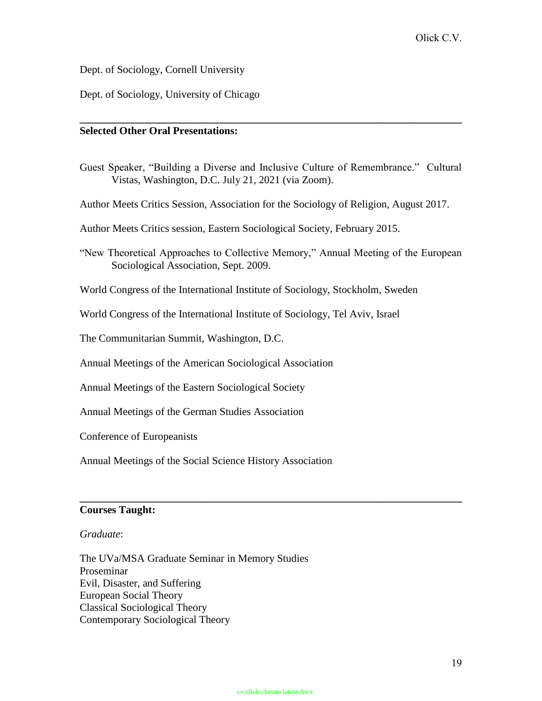Dept. of Sociology, Cornell University

Dept. of Sociology, University of Chicago

## **Selected Other Oral Presentations:**

Guest Speaker, "Building a Diverse and Inclusive Culture of Remembrance." Cultural Vistas, Washington, D.C. July 21, 2021 (via Zoom).

**\_\_\_\_\_\_\_\_\_\_\_\_\_\_\_\_\_\_\_\_\_\_\_\_\_\_\_\_\_\_\_\_\_\_\_\_\_\_\_\_\_\_\_\_\_\_\_\_\_\_\_\_\_\_\_\_\_\_\_\_\_\_\_\_\_\_\_\_\_\_\_\_**

Author Meets Critics Session, Association for the Sociology of Religion, August 2017.

Author Meets Critics session, Eastern Sociological Society, February 2015.

"New Theoretical Approaches to Collective Memory," Annual Meeting of the European Sociological Association, Sept. 2009.

World Congress of the International Institute of Sociology, Stockholm, Sweden

World Congress of the International Institute of Sociology, Tel Aviv, Israel

The Communitarian Summit, Washington, D.C.

Annual Meetings of the American Sociological Association

Annual Meetings of the Eastern Sociological Society

Annual Meetings of the German Studies Association

Conference of Europeanists

Annual Meetings of the Social Science History Association

## **Courses Taught:**

#### *Graduate*:

The UVa/MSA Graduate Seminar in Memory Studies Proseminar Evil, Disaster, and Suffering European Social Theory Classical Sociological Theory Contemporary Sociological Theory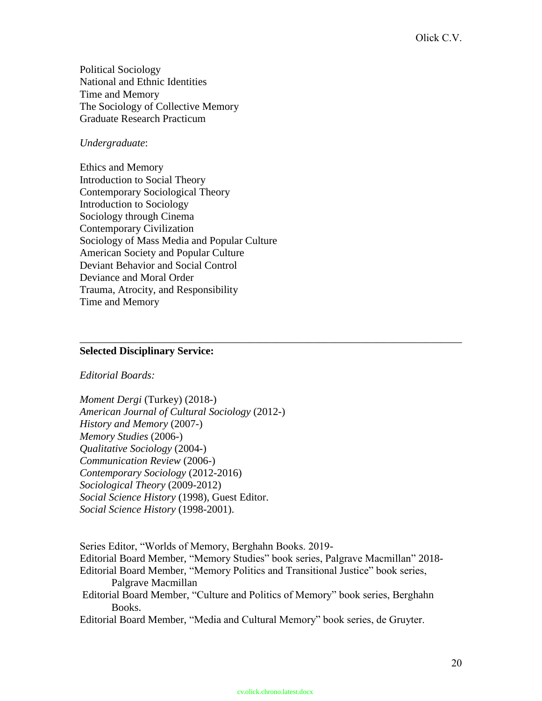Political Sociology National and Ethnic Identities Time and Memory The Sociology of Collective Memory Graduate Research Practicum

## *Undergraduate*:

Ethics and Memory Introduction to Social Theory Contemporary Sociological Theory Introduction to Sociology Sociology through Cinema Contemporary Civilization Sociology of Mass Media and Popular Culture American Society and Popular Culture Deviant Behavior and Social Control Deviance and Moral Order Trauma, Atrocity, and Responsibility Time and Memory

#### **Selected Disciplinary Service:**

#### *Editorial Boards:*

*Moment Dergi* (Turkey) (2018-) *American Journal of Cultural Sociology* (2012-) *History and Memory* (2007-) *Memory Studies* (2006-) *Qualitative Sociology* (2004-) *Communication Review* (2006-) *Contemporary Sociology* (2012-2016) *Sociological Theory* (2009-2012) *Social Science History* (1998), Guest Editor. *Social Science History* (1998-2001).

Series Editor, "Worlds of Memory, Berghahn Books. 2019- Editorial Board Member, "Memory Studies" book series, Palgrave Macmillan" 2018- Editorial Board Member, "Memory Politics and Transitional Justice" book series, Palgrave Macmillan Editorial Board Member, "Culture and Politics of Memory" book series, Berghahn Books. Editorial Board Member, "Media and Cultural Memory" book series, de Gruyter.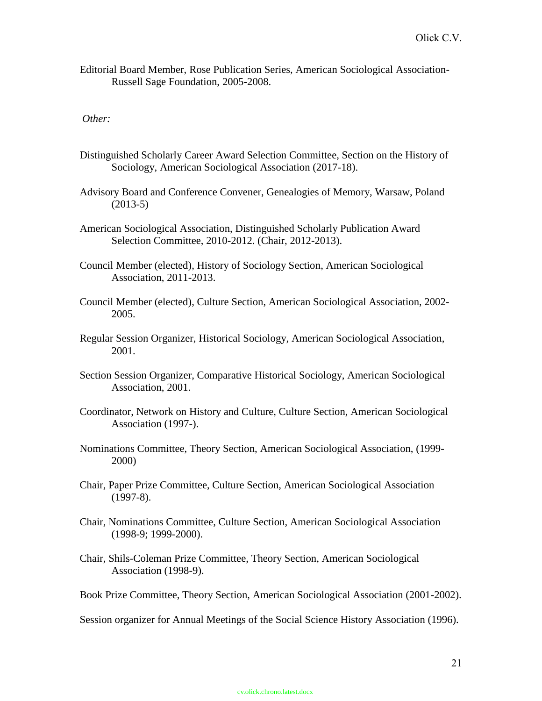Editorial Board Member, Rose Publication Series, American Sociological Association-Russell Sage Foundation, 2005-2008.

## *Other:*

- Distinguished Scholarly Career Award Selection Committee, Section on the History of Sociology, American Sociological Association (2017-18).
- Advisory Board and Conference Convener, Genealogies of Memory, Warsaw, Poland (2013-5)
- American Sociological Association, Distinguished Scholarly Publication Award Selection Committee, 2010-2012. (Chair, 2012-2013).
- Council Member (elected), History of Sociology Section, American Sociological Association, 2011-2013.
- Council Member (elected), Culture Section, American Sociological Association, 2002- 2005.
- Regular Session Organizer, Historical Sociology, American Sociological Association, 2001.
- Section Session Organizer, Comparative Historical Sociology, American Sociological Association, 2001.
- Coordinator, Network on History and Culture, Culture Section, American Sociological Association (1997-).
- Nominations Committee, Theory Section, American Sociological Association, (1999- 2000)
- Chair, Paper Prize Committee, Culture Section, American Sociological Association (1997-8).
- Chair, Nominations Committee, Culture Section, American Sociological Association (1998-9; 1999-2000).
- Chair, Shils-Coleman Prize Committee, Theory Section, American Sociological Association (1998-9).
- Book Prize Committee, Theory Section, American Sociological Association (2001-2002).

Session organizer for Annual Meetings of the Social Science History Association (1996).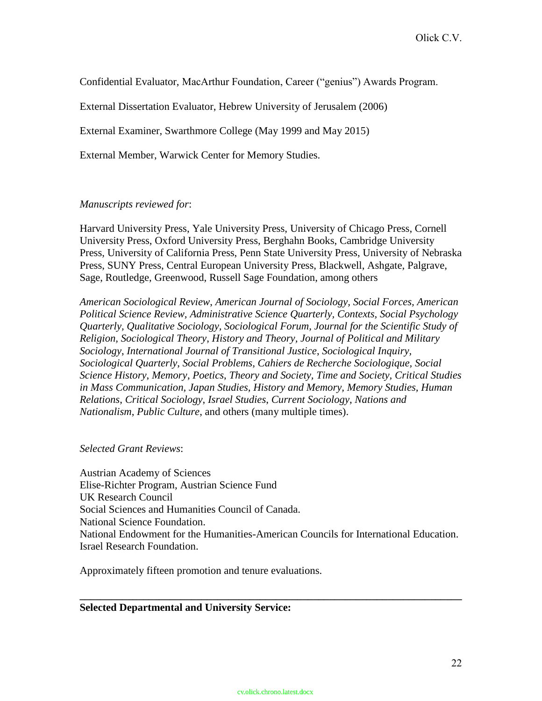Confidential Evaluator, MacArthur Foundation, Career ("genius") Awards Program.

External Dissertation Evaluator, Hebrew University of Jerusalem (2006)

External Examiner, Swarthmore College (May 1999 and May 2015)

External Member, Warwick Center for Memory Studies.

### *Manuscripts reviewed for*:

Harvard University Press, Yale University Press, University of Chicago Press, Cornell University Press, Oxford University Press, Berghahn Books, Cambridge University Press, University of California Press, Penn State University Press, University of Nebraska Press, SUNY Press, Central European University Press, Blackwell, Ashgate, Palgrave, Sage, Routledge, Greenwood, Russell Sage Foundation, among others

*American Sociological Review*, *American Journal of Sociology, Social Forces, American Political Science Review, Administrative Science Quarterly, Contexts, Social Psychology Quarterly, Qualitative Sociology, Sociological Forum, Journal for the Scientific Study of Religion, Sociological Theory*, *History and Theory, Journal of Political and Military Sociology*, *International Journal of Transitional Justice*, *Sociological Inquiry, Sociological Quarterly*, *Social Problems*, *Cahiers de Recherche Sociologique, Social Science History*, *Memory*, *Poetics*, *Theory and Society, Time and Society, Critical Studies in Mass Communication, Japan Studies, History and Memory, Memory Studies, Human Relations*, *Critical Sociology*, *Israel Studies*, *Current Sociology*, *Nations and Nationalism*, *Public Culture*, and others (many multiple times).

#### *Selected Grant Reviews*:

Austrian Academy of Sciences Elise-Richter Program, Austrian Science Fund UK Research Council Social Sciences and Humanities Council of Canada. National Science Foundation. National Endowment for the Humanities-American Councils for International Education. Israel Research Foundation.

**\_\_\_\_\_\_\_\_\_\_\_\_\_\_\_\_\_\_\_\_\_\_\_\_\_\_\_\_\_\_\_\_\_\_\_\_\_\_\_\_\_\_\_\_\_\_\_\_\_\_\_\_\_\_\_\_\_\_\_\_\_\_\_\_\_\_\_\_\_\_\_\_**

Approximately fifteen promotion and tenure evaluations.

#### **Selected Departmental and University Service:**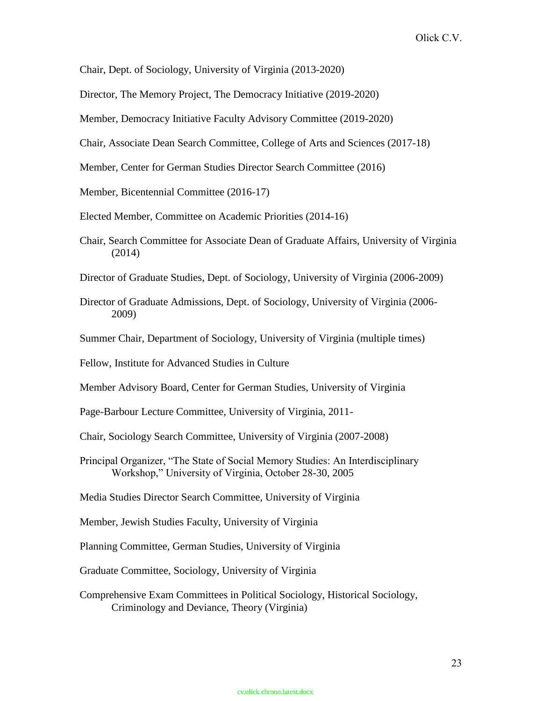Chair, Dept. of Sociology, University of Virginia (2013-2020)

Director, The Memory Project, The Democracy Initiative (2019-2020)

Member, Democracy Initiative Faculty Advisory Committee (2019-2020)

Chair, Associate Dean Search Committee, College of Arts and Sciences (2017-18)

Member, Center for German Studies Director Search Committee (2016)

Member, Bicentennial Committee (2016-17)

Elected Member, Committee on Academic Priorities (2014-16)

Chair, Search Committee for Associate Dean of Graduate Affairs, University of Virginia (2014)

Director of Graduate Studies, Dept. of Sociology, University of Virginia (2006-2009)

- Director of Graduate Admissions, Dept. of Sociology, University of Virginia (2006- 2009)
- Summer Chair, Department of Sociology, University of Virginia (multiple times)

Fellow, Institute for Advanced Studies in Culture

Member Advisory Board, Center for German Studies, University of Virginia

Page-Barbour Lecture Committee, University of Virginia, 2011-

- Chair, Sociology Search Committee, University of Virginia (2007-2008)
- Principal Organizer, "The State of Social Memory Studies: An Interdisciplinary Workshop," University of Virginia, October 28-30, 2005

Media Studies Director Search Committee, University of Virginia

Member, Jewish Studies Faculty, University of Virginia

Planning Committee, German Studies, University of Virginia

Graduate Committee, Sociology, University of Virginia

Comprehensive Exam Committees in Political Sociology, Historical Sociology, Criminology and Deviance, Theory (Virginia)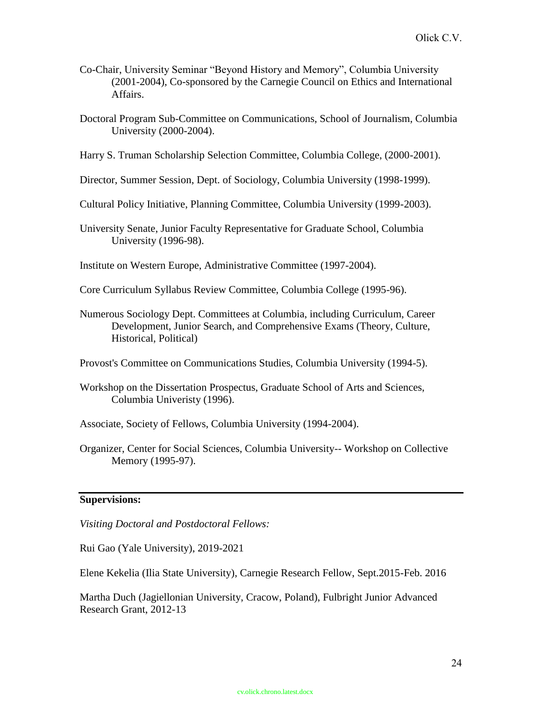- Co-Chair, University Seminar "Beyond History and Memory", Columbia University (2001-2004), Co-sponsored by the Carnegie Council on Ethics and International Affairs.
- Doctoral Program Sub-Committee on Communications, School of Journalism, Columbia University (2000-2004).
- Harry S. Truman Scholarship Selection Committee, Columbia College, (2000-2001).
- Director, Summer Session, Dept. of Sociology, Columbia University (1998-1999).
- Cultural Policy Initiative, Planning Committee, Columbia University (1999-2003).
- University Senate, Junior Faculty Representative for Graduate School, Columbia University (1996-98).
- Institute on Western Europe, Administrative Committee (1997-2004).
- Core Curriculum Syllabus Review Committee, Columbia College (1995-96).
- Numerous Sociology Dept. Committees at Columbia, including Curriculum, Career Development, Junior Search, and Comprehensive Exams (Theory, Culture, Historical, Political)
- Provost's Committee on Communications Studies, Columbia University (1994-5).
- Workshop on the Dissertation Prospectus, Graduate School of Arts and Sciences, Columbia Univeristy (1996).
- Associate, Society of Fellows, Columbia University (1994-2004).
- Organizer, Center for Social Sciences, Columbia University-- Workshop on Collective Memory (1995-97).

### **Supervisions:**

*Visiting Doctoral and Postdoctoral Fellows:*

Rui Gao (Yale University), 2019-2021

Elene Kekelia (Ilia State University), Carnegie Research Fellow, Sept.2015-Feb. 2016

Martha Duch (Jagiellonian University, Cracow, Poland), Fulbright Junior Advanced Research Grant, 2012-13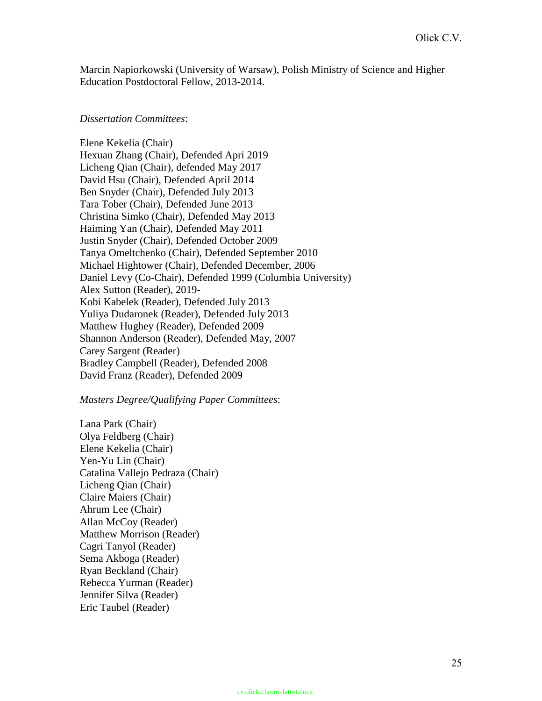Marcin Napiorkowski (University of Warsaw), Polish Ministry of Science and Higher Education Postdoctoral Fellow, 2013-2014.

## *Dissertation Committees*:

Elene Kekelia (Chair) Hexuan Zhang (Chair), Defended Apri 2019 Licheng Qian (Chair), defended May 2017 David Hsu (Chair), Defended April 2014 Ben Snyder (Chair), Defended July 2013 Tara Tober (Chair), Defended June 2013 Christina Simko (Chair), Defended May 2013 Haiming Yan (Chair), Defended May 2011 Justin Snyder (Chair), Defended October 2009 Tanya Omeltchenko (Chair), Defended September 2010 Michael Hightower (Chair), Defended December, 2006 Daniel Levy (Co-Chair), Defended 1999 (Columbia University) Alex Sutton (Reader), 2019- Kobi Kabelek (Reader), Defended July 2013 Yuliya Dudaronek (Reader), Defended July 2013 Matthew Hughey (Reader), Defended 2009 Shannon Anderson (Reader), Defended May, 2007 Carey Sargent (Reader) Bradley Campbell (Reader), Defended 2008 David Franz (Reader), Defended 2009

## *Masters Degree/Qualifying Paper Committees*:

Lana Park (Chair) Olya Feldberg (Chair) Elene Kekelia (Chair) Yen-Yu Lin (Chair) Catalina Vallejo Pedraza (Chair) Licheng Qian (Chair) Claire Maiers (Chair) Ahrum Lee (Chair) Allan McCoy (Reader) Matthew Morrison (Reader) Cagri Tanyol (Reader) Sema Akboga (Reader) Ryan Beckland (Chair) Rebecca Yurman (Reader) Jennifer Silva (Reader) Eric Taubel (Reader)